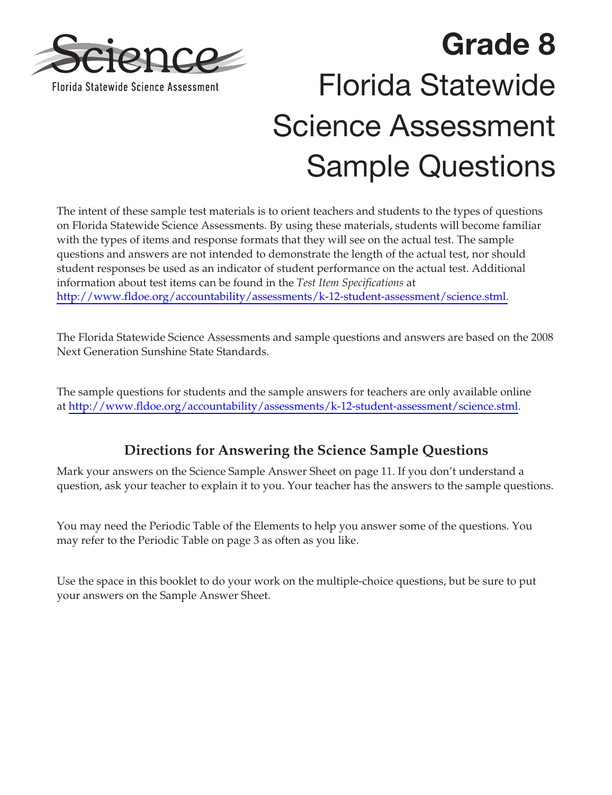

# **Grade 8**  Florida Statewide Science Assessment Sample Questions

The intent of these sample test materials is to orient teachers and students to the types of questions on Florida Statewide Science Assessments. By using these materials, students will become familiar with the types of items and response formats that they will see on the actual test. The sample questions and answers are not intended to demonstrate the length of the actual test, nor should student responses be used as an indicator of student performance on the actual test. Additional information about test items can be found in the *Test Item Specifications* at [http://www.fldoe.org/accountability/assessments/k-12-student-assessment/science.stml.](http://www.fldoe.org/accountability/assessments/k-12-student-assessment/science.stml)

The Florida Statewide Science Assessments and sample questions and answers are based on the 2008 Next Generation Sunshine State Standards.

The sample questions for students and the sample answers for teachers are only available online at [http://www.fldoe.org/accountability/assessments/k-12-student-assessment/science.stml.](http://www.fldoe.org/accountability/assessments/k-12-student-assessment/science.stml)

**Directions for Answering the Science Sample Questions**  Mark your answers on the Science Sample Answer Sheet on [page 11.](#page-10-0) If you don't understand a question, ask your teacher to explain it to you. Your teacher has the answers to the sample questions.

You may need the Periodic Table of the Elements to help you answer some of the questions. You may refer to the Periodic Table o[n page 3 a](#page-2-0)s often as you like.

Use the space in this booklet to do your work on the multiple-choice questions, but be sure to put your answers on the Sample Answer Sheet.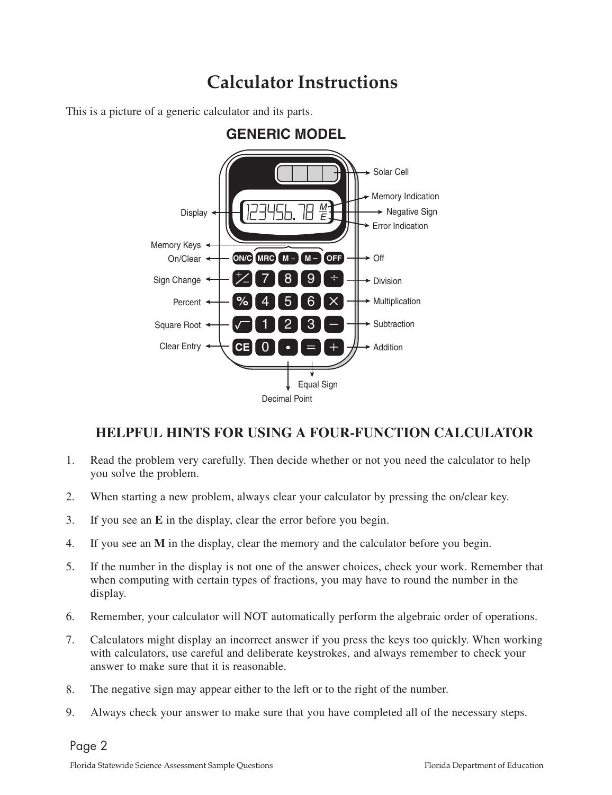## **Calculator Instructions**

This is a picture of a generic calculator and its parts.



### **HELPFUL HINTS FOR USING A FOUR-FUNCTION CALCULATOR**

- 1. Read the problem very carefully. Then decide whether or not you need the calculator to help you solve the problem.
- 2. When starting a new problem, always clear your calculator by pressing the on/clear key.
- 3. If you see an **E** in the display, clear the error before you begin.
- 4. If you see an **M** in the display, clear the memory and the calculator before you begin.
- 5. If the number in the display is not one of the answer choices, check your work. Remember that when computing with certain types of fractions, you may have to round the number in the display.
- 6. Remember, your calculator will NOT automatically perform the algebraic order of operations.
- 7. Calculators might display an incorrect answer if you press the keys too quickly. When working with calculators, use careful and deliberate keystrokes, and always remember to check your answer to make sure that it is reasonable.
- 8. The negative sign may appear either to the left or to the right of the number.
- 9. Always check your answer to make sure that you have completed all of the necessary steps.

 $\overline{9}$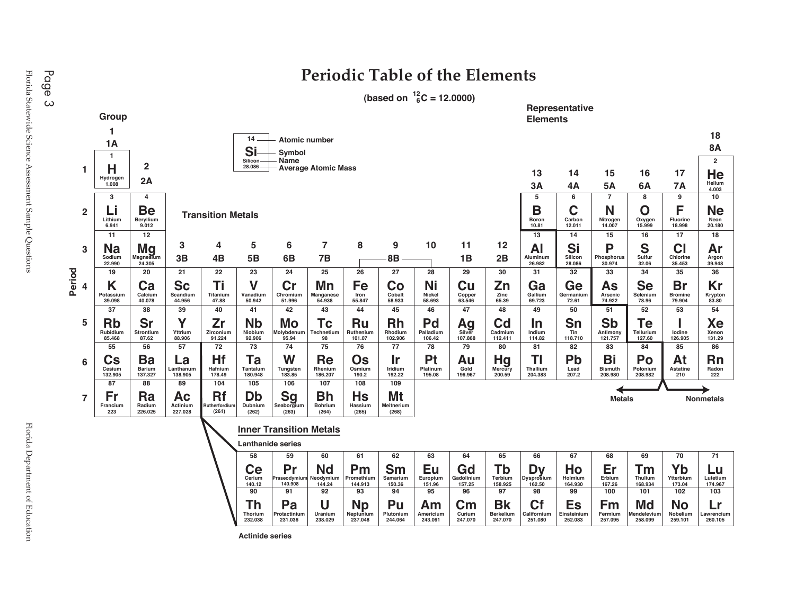

**Actinide series** 

<span id="page-2-0"></span>Florida Statewide Science Assessment Sample Questions Florida Department of Education **Page 3**<br>Florida Statewide Science Assessment Sample Questions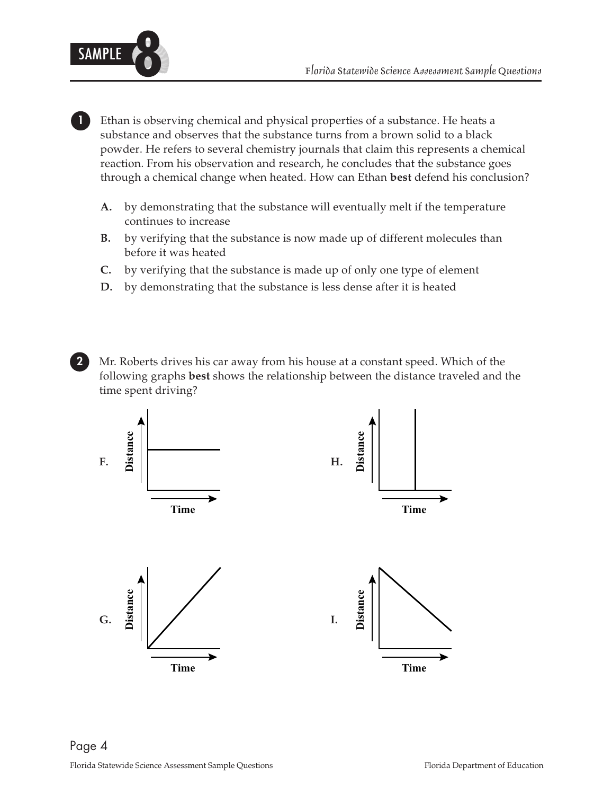

**1** Ethan is observing chemical and physical properties of a substance. He heats a substance and observes that the substance turns from a brown solid to a black powder. He refers to several chemistry journals that claim this represents a chemical reaction. From his observation and research, he concludes that the substance goes through a chemical change when heated. How can Ethan **best** defend his conclusion?

- **A.**  by demonstrating that the substance will eventually melt if the temperature continues to increase
- **B.** by verifying that the substance is now made up of different molecules than before it was heated
- **C.**  by verifying that the substance is made up of only one type of element
- **D.** by demonstrating that the substance is less dense after it is heated
- **2** Mr. Roberts drives his car away from his house at a constant speed. Which of the following graphs **best** shows the relationship between the distance traveled and the time spent driving?

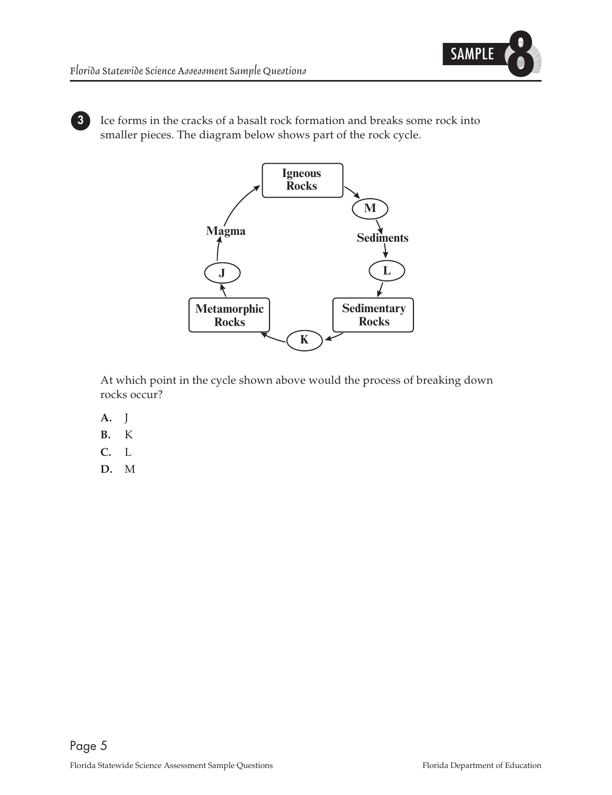

**3** Ice forms in the cracks of a basalt rock formation and breaks some rock into smaller pieces. The diagram below shows part of the rock cycle.



At which point in the cycle shown above would the process of breaking down rocks occur?

- 
- **A. J**<br>**B.** K
- **B.**<sup>K</sup> **C.**<sup>L</sup>
- **D.**<sup>M</sup>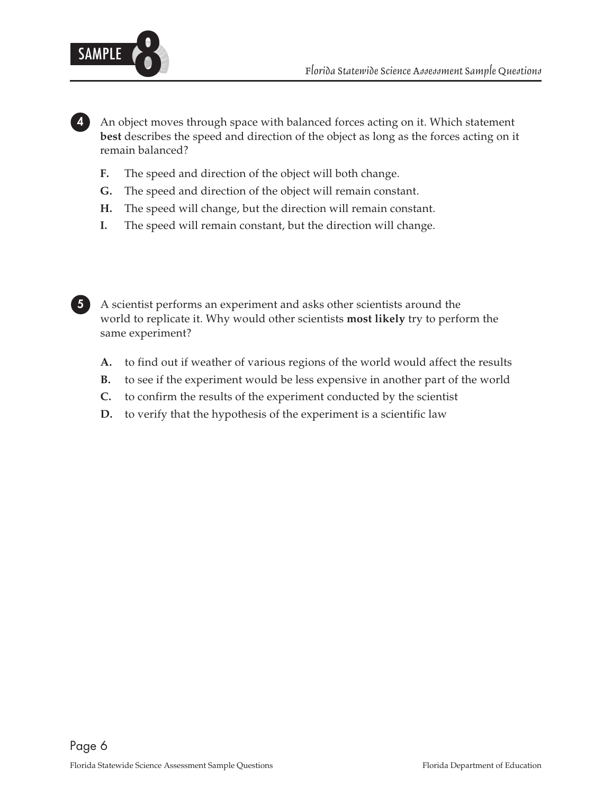

**4** An object moves through space with balanced forces acting on it. Which statement **best** describes the speed and direction of the object as long as the forces acting on it remain balanced?

- **F.** The speed and direction of the object will both change.
- **G.** The speed and direction of the object will remain constant.
- **H.** The speed will change, but the direction will remain constant.
- **I.** The speed will remain constant, but the direction will change.



**5** A scientist performs an experiment and asks other scientists around the world to replicate it. Why would other scientists **most likely** try to perform the same experiment?

- **A.** to find out if weather of various regions of the world would affect the results **B.** to see if the experiment would be less expensive in another part of the world
- **B.** to see if the experiment would be less expensive in another part of the world **C.** to confirm the results of the experiment conducted by the scientist
- **C.** to confirm the results of the experiment conducted by the scientist
- **D.** to verify that the hypothesis of the experiment is a scientific law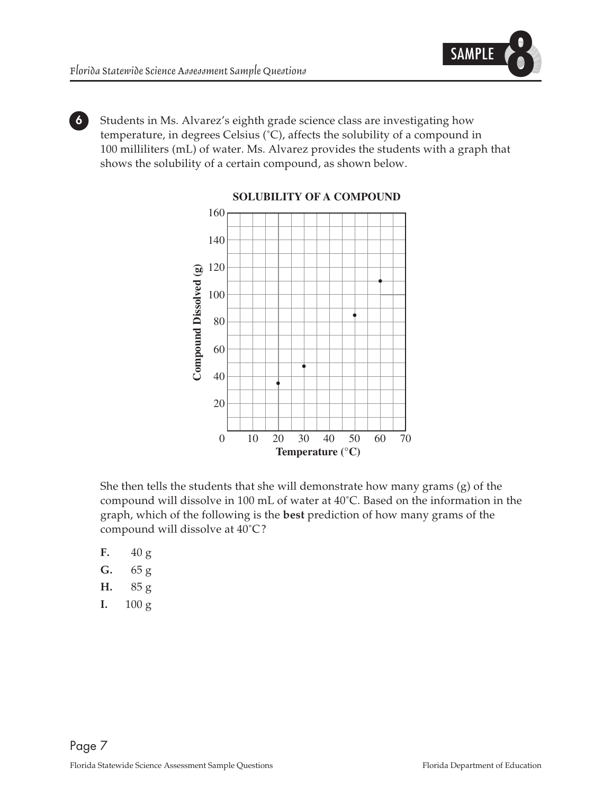

**6** Students in Ms. Alvarez's eighth grade science class are investigating how temperature, in degrees Celsius (˚C), affects the solubility of a compound in 100 milliliters (mL) of water. Ms. Alvarez provides the students with a graph that shows the solubility of a certain compound, as shown below.



**SOLUBILITY OF A COMPOUND**

She then tells the students that she will demonstrate how many grams (g) of the compound will dissolve in 100 mL of water at 40˚C. Based on the information in the graph, which of the following is the **best** prediction of how many grams of the compound will dissolve at 40˚C?

- 
- **F.**  $40 g$ <br>**G.**  $65 g$
- **G.** 65 g
- **H.** 85 g<br>**I.**  $100 \text{ g}$ **I.** 100 g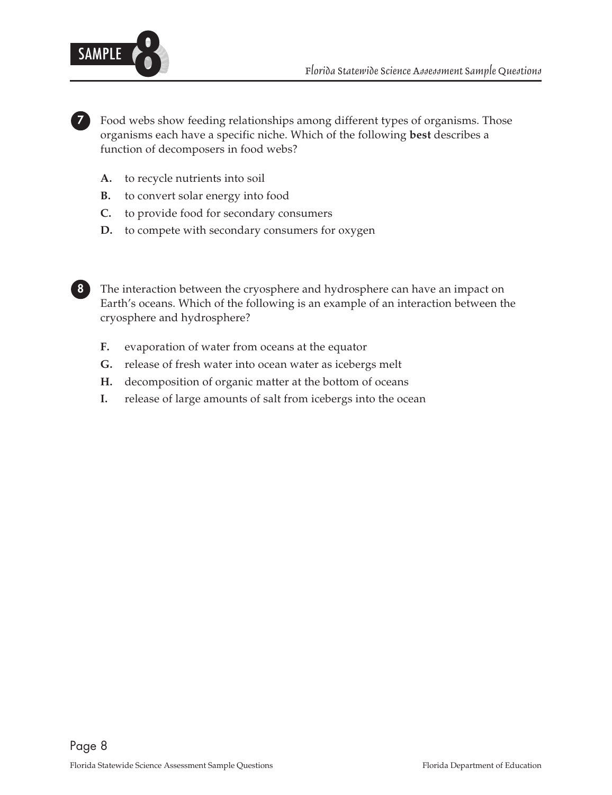

**7** Food webs show feeding relationships among different types of organisms. Those organisms each have a specific niche. Which of the following **best** describes a function of decomposers in food webs?

- **A.** to recycle nutrients into soil<br>**B.** to convert solar energy into
- **B.** to convert solar energy into food<br>**C.** to provide food for secondary co
- **C.** to provide food for secondary consumers<br>**D.** to compete with secondary consumers for
- to compete with secondary consumers for oxygen

**8** The interaction between the cryosphere and hydrosphere can have an impact on Earth's oceans. Which of the following is an example of an interaction between the cryosphere and hydrosphere?

- **F.** evaporation of water from oceans at the equator **G**. release of fresh water into ocean water as icebers
- **G.** release of fresh water into ocean water as icebergs melt
- **H.** decomposition of organic matter at the bottom of oceans<br>**I.** release of large amounts of salt from icebergs into the oce
- **I.** release of large amounts of salt from icebergs into the ocean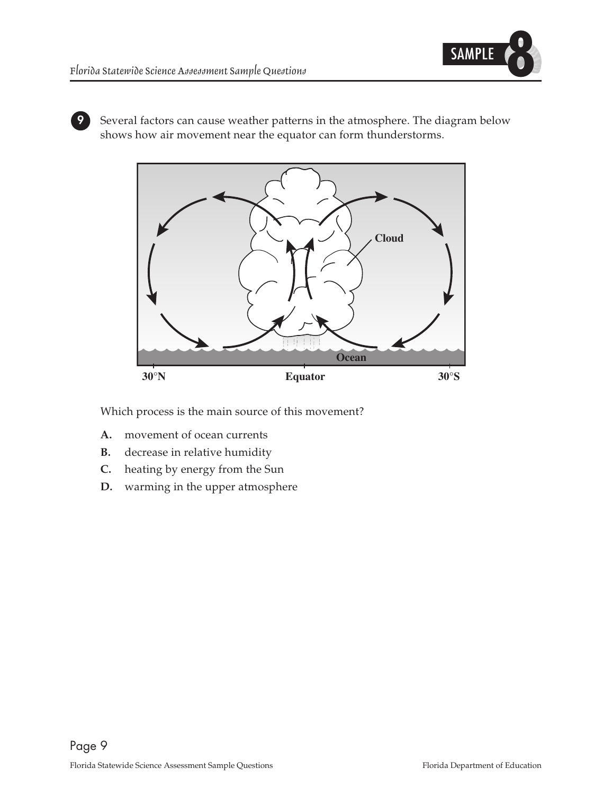

**9** Several factors can cause weather patterns in the atmosphere. The diagram below shows how air movement near the equator can form thunderstorms.



Which process is the main source of this movement?

- **A.** movement of ocean currents<br>**B.** decrease in relative humidity
- **B.** decrease in relative humidity<br>**C.** heating by energy from the Su
- **C.** heating by energy from the Sun **D.** warming in the upper atmosphen
- **D.** warming in the upper atmosphere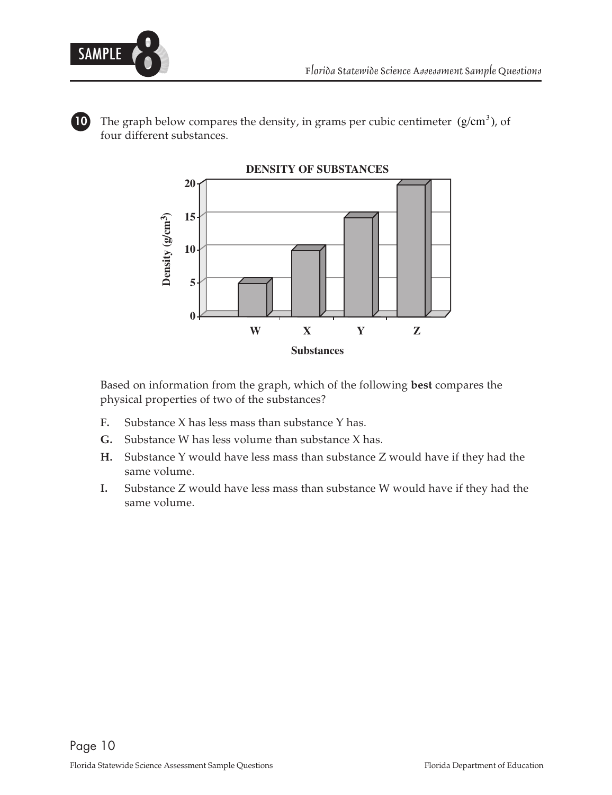

**10** The graph below compares the density, in grams per cubic centimeter  $(g/cm<sup>3</sup>)$ , of four different substances.



Based on information from the graph, which of the following **best** compares the physical properties of two of the substances?

- **F.** Substance X has less mass than substance Y has.
- **G.**  Substance W has less volume than substance X has.
- **H.** Substance Y would have less mass than substance Z would have if they had the same volume.
- **I.** Substance Z would have less mass than substance W would have if they had the same volume.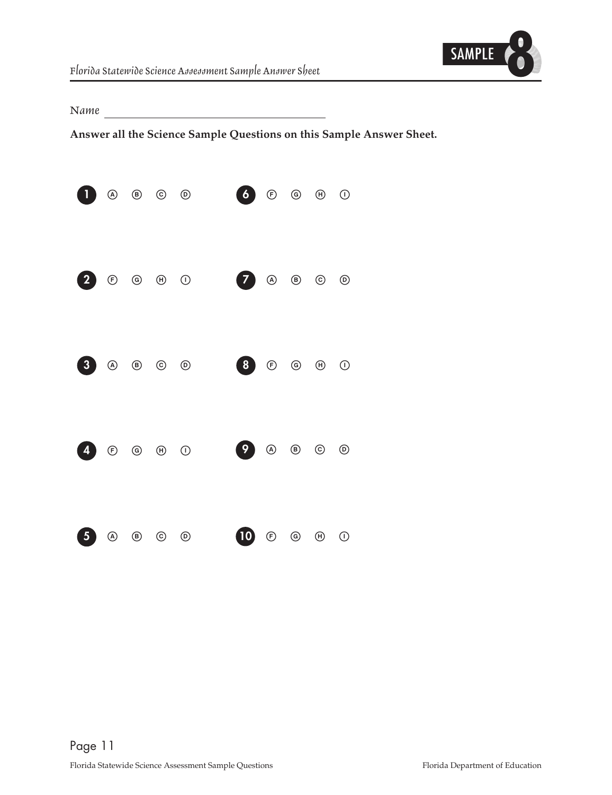

<span id="page-10-0"></span>*Name* 

**Answer all the Science Sample Questions on this Sample Answer Sheet.**